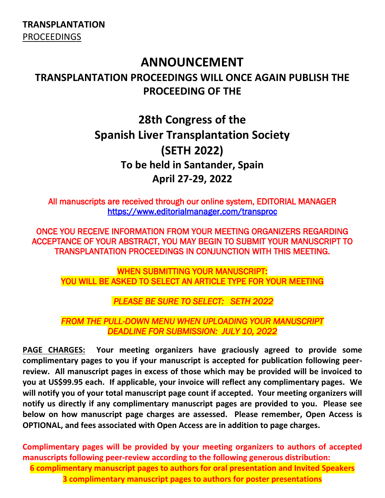**TRANSPLANTATION** PROCEEDINGS

# **ANNOUNCEMENT**

# **TRANSPLANTATION PROCEEDINGS WILL ONCE AGAIN PUBLISH THE PROCEEDING OF THE**

# **28th Congress of the Spanish Liver Transplantation Society (SETH 2022) To be held in Santander, Spain April 27-29, 2022**

All manuscripts are received through our online system, EDITORIAL MANAGER <https://www.editorialmanager.com/transproc>

ONCE YOU RECEIVE INFORMATION FROM YOUR MEETING ORGANIZERS REGARDING ACCEPTANCE OF YOUR ABSTRACT, YOU MAY BEGIN TO SUBMIT YOUR MANUSCRIPT TO TRANSPLANTATION PROCEEDINGS IN CONJUNCTION WITH THIS MEETING.

WHEN SUBMITTING YOUR MANUSCRIPT: YOU WILL BE ASKED TO SELECT AN ARTICLE TYPE FOR YOUR MEETING

*PLEASE BE SURE TO SELECT: SETH 2022* 

*FROM THE PULL-DOWN MENU WHEN UPLOADING YOUR MANUSCRIPT DEADLINE FOR SUBMISSION: JULY 10, 2022*

**PAGE CHARGES: Your meeting organizers have graciously agreed to provide some complimentary pages to you if your manuscript is accepted for publication following peerreview. All manuscript pages in excess of those which may be provided will be invoiced to you at US\$99.95 each. If applicable, your invoice will reflect any complimentary pages. We will notify you of your total manuscript page count if accepted. Your meeting organizers will notify us directly if any complimentary manuscript pages are provided to you. Please see below on how manuscript page charges are assessed. Please remember, Open Access is OPTIONAL, and fees associated with Open Access are in addition to page charges.**

**Complimentary pages will be provided by your meeting organizers to authors of accepted manuscripts following peer-review according to the following generous distribution: 6 complimentary manuscript pages to authors for oral presentation and Invited Speakers 3 complimentary manuscript pages to authors for poster presentations**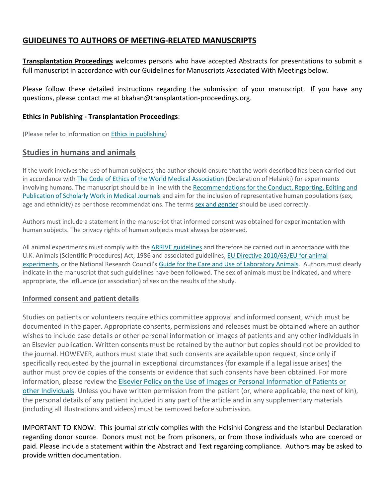## **GUIDELINES TO AUTHORS OF MEETING-RELATED MANUSCRIPTS**

**Transplantation Proceedings** welcomes persons who have accepted Abstracts for presentations to submit a full manuscript in accordance with our Guidelines for Manuscripts Associated With Meetings below.

Please follow these detailed instructions regarding the submission of your manuscript. If you have any questions, please contact me at bkahan@transplantation-proceedings.org.

### **Ethics in Publishing - Transplantation Proceedings**:

(Please refer to information on [Ethics in publishing\)](https://www.elsevier.com/about/policies/publishing-ethics#Authors)

### **Studies in humans and animals**

If the work involves the use of human subjects, the author should ensure that the work described has been carried out in accordance with The Code of Ethics [of the World Medical Association](https://nam11.safelinks.protection.outlook.com/?url=https%3A%2F%2Fwww.wma.net%2Fpolicies-post%2Fwma-declaration-of-helsinki-ethical-principles-for-medical-research-involving-human-subjects%2F&data=04%7C01%7Cl.verrillo%40elsevier.com%7Cc2ea3841eed74b53f40408d9d58a4e05%7C9274ee3f94254109a27f9fb15c10675d%7C0%7C0%7C637775612266815967%7CUnknown%7CTWFpbGZsb3d8eyJWIjoiMC4wLjAwMDAiLCJQIjoiV2luMzIiLCJBTiI6Ik1haWwiLCJXVCI6Mn0%3D%7C3000&sdata=4NBdVitlxRBAMpW55%2F75d6uSU5GwIInDuYkfQGBEDNA%3D&reserved=0) (Declaration of Helsinki) for experiments involving humans. The manuscript should be in line with the [Recommendations for the Conduct, Reporting, Editing and](https://nam11.safelinks.protection.outlook.com/?url=http%3A%2F%2Fwww.icmje.org%2Frecommendations%2F&data=04%7C01%7Cl.verrillo%40elsevier.com%7Cc2ea3841eed74b53f40408d9d58a4e05%7C9274ee3f94254109a27f9fb15c10675d%7C0%7C0%7C637775612266815967%7CUnknown%7CTWFpbGZsb3d8eyJWIjoiMC4wLjAwMDAiLCJQIjoiV2luMzIiLCJBTiI6Ik1haWwiLCJXVCI6Mn0%3D%7C3000&sdata=qFLdvvGYqpi%2F1vSzvTfxn%2BceL%2BIESj7H4ZBKFlSTc3A%3D&reserved=0)  [Publication of Scholarly Work in Medical Journals](https://nam11.safelinks.protection.outlook.com/?url=http%3A%2F%2Fwww.icmje.org%2Frecommendations%2F&data=04%7C01%7Cl.verrillo%40elsevier.com%7Cc2ea3841eed74b53f40408d9d58a4e05%7C9274ee3f94254109a27f9fb15c10675d%7C0%7C0%7C637775612266815967%7CUnknown%7CTWFpbGZsb3d8eyJWIjoiMC4wLjAwMDAiLCJQIjoiV2luMzIiLCJBTiI6Ik1haWwiLCJXVCI6Mn0%3D%7C3000&sdata=qFLdvvGYqpi%2F1vSzvTfxn%2BceL%2BIESj7H4ZBKFlSTc3A%3D&reserved=0) and aim for the inclusion of representative human populations (sex, age and ethnicity) as per those recommendations. The terms [sex and gender](https://nam11.safelinks.protection.outlook.com/?url=https%3A%2F%2Fwww.who.int%2Fgender-equity-rights%2Funderstanding%2Fgender-definition%2Fen%2F&data=04%7C01%7Cl.verrillo%40elsevier.com%7Cc2ea3841eed74b53f40408d9d58a4e05%7C9274ee3f94254109a27f9fb15c10675d%7C0%7C0%7C637775612266815967%7CUnknown%7CTWFpbGZsb3d8eyJWIjoiMC4wLjAwMDAiLCJQIjoiV2luMzIiLCJBTiI6Ik1haWwiLCJXVCI6Mn0%3D%7C3000&sdata=N93QzjSqVGgf54TT5aH0yeqil8OK10Xt1lFlQQJzkcA%3D&reserved=0) should be used correctly.

Authors must include a statement in the manuscript that informed consent was obtained for experimentation with human subjects. The privacy rights of human subjects must always be observed.

All animal experiments must comply with the [ARRIVE guidelines](https://nam11.safelinks.protection.outlook.com/?url=https%3A%2F%2Fwww.nc3rs.org.uk%2Farrive-guidelines&data=04%7C01%7Cl.verrillo%40elsevier.com%7Cc2ea3841eed74b53f40408d9d58a4e05%7C9274ee3f94254109a27f9fb15c10675d%7C0%7C0%7C637775612266815967%7CUnknown%7CTWFpbGZsb3d8eyJWIjoiMC4wLjAwMDAiLCJQIjoiV2luMzIiLCJBTiI6Ik1haWwiLCJXVCI6Mn0%3D%7C3000&sdata=5U9fOOGHcux2hm2uFMDQm%2FLi2u0eTX6y1a65BpMqp1U%3D&reserved=0) and therefore be carried out in accordance with the U.K. Animals (Scientific Procedures) Act, 1986 and associated guidelines, [EU Directive 2010/63/EU for animal](https://nam11.safelinks.protection.outlook.com/?url=https%3A%2F%2Fec.europa.eu%2Fenvironment%2Fchemicals%2Flab_animals%2Flegislation_en.htm&data=04%7C01%7Cl.verrillo%40elsevier.com%7Cc2ea3841eed74b53f40408d9d58a4e05%7C9274ee3f94254109a27f9fb15c10675d%7C0%7C0%7C637775612266815967%7CUnknown%7CTWFpbGZsb3d8eyJWIjoiMC4wLjAwMDAiLCJQIjoiV2luMzIiLCJBTiI6Ik1haWwiLCJXVCI6Mn0%3D%7C3000&sdata=BOJqiuUvfVCh%2BCka%2FQFOpI3X2Ub710ckri4pSP8RF1c%3D&reserved=0)  [experiments,](https://nam11.safelinks.protection.outlook.com/?url=https%3A%2F%2Fec.europa.eu%2Fenvironment%2Fchemicals%2Flab_animals%2Flegislation_en.htm&data=04%7C01%7Cl.verrillo%40elsevier.com%7Cc2ea3841eed74b53f40408d9d58a4e05%7C9274ee3f94254109a27f9fb15c10675d%7C0%7C0%7C637775612266815967%7CUnknown%7CTWFpbGZsb3d8eyJWIjoiMC4wLjAwMDAiLCJQIjoiV2luMzIiLCJBTiI6Ik1haWwiLCJXVCI6Mn0%3D%7C3000&sdata=BOJqiuUvfVCh%2BCka%2FQFOpI3X2Ub710ckri4pSP8RF1c%3D&reserved=0) or the National Research Council's [Guide for the Care and Use of Laboratory Animals.](https://nam11.safelinks.protection.outlook.com/?url=https%3A%2F%2Fgrants.nih.gov%2Fgrants%2Folaw%2Fguide-for-the-care-and-use-of-laboratory-animals.pdf&data=04%7C01%7Cl.verrillo%40elsevier.com%7Cc2ea3841eed74b53f40408d9d58a4e05%7C9274ee3f94254109a27f9fb15c10675d%7C0%7C0%7C637775612266815967%7CUnknown%7CTWFpbGZsb3d8eyJWIjoiMC4wLjAwMDAiLCJQIjoiV2luMzIiLCJBTiI6Ik1haWwiLCJXVCI6Mn0%3D%7C3000&sdata=GYSSgJQSGn91bdSXssuQfyTO76rdvxfhNodtQSwRlM8%3D&reserved=0) Authors must clearly indicate in the manuscript that such guidelines have been followed. The sex of animals must be indicated, and where appropriate, the influence (or association) of sex on the results of the study.

#### **Informed consent and patient details**

Studies on patients or volunteers require ethics committee approval and informed consent, which must be documented in the paper. Appropriate consents, permissions and releases must be obtained where an author wishes to include case details or other personal information or images of patients and any other individuals in an Elsevier publication. Written consents must be retained by the author but copies should not be provided to the journal. HOWEVER, authors must state that such consents are available upon request, since only if specifically requested by the journal in exceptional circumstances (for example if a legal issue arises) the author must provide copies of the consents or evidence that such consents have been obtained. For more information, please review the Elsevier Policy on the Use [of Images or Personal Information of Patients or](https://www.elsevier.com/about/policies/patient-consent)  [other Individuals.](https://www.elsevier.com/about/policies/patient-consent) Unless you have written permission from the patient (or, where applicable, the next of kin), the personal details of any patient included in any part of the article and in any supplementary materials (including all illustrations and videos) must be removed before submission.

IMPORTANT TO KNOW: This journal strictly complies with the Helsinki Congress and the Istanbul Declaration regarding donor source. Donors must not be from prisoners, or from those individuals who are coerced or paid. Please include a statement within the Abstract and Text regarding compliance. Authors may be asked to provide written documentation.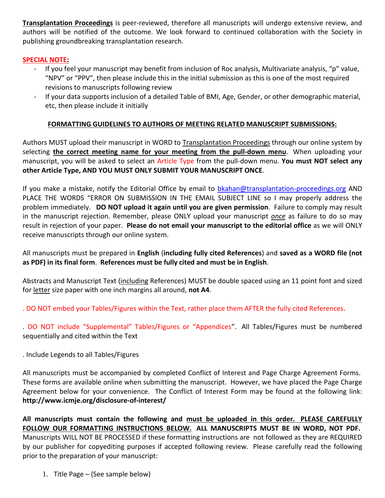**Transplantation Proceedings** is peer-reviewed, therefore all manuscripts will undergo extensive review, and authors will be notified of the outcome. We look forward to continued collaboration with the Society in publishing groundbreaking transplantation research.

### **SPECIAL NOTE:**

- If you feel your manuscript may benefit from inclusion of Roc analysis, Multivariate analysis, "p" value, "NPV" or "PPV", then please include this in the initial submission as this is one of the most required revisions to manuscripts following review
- If your data supports inclusion of a detailed Table of BMI, Age, Gender, or other demographic material, etc, then please include it initially

### **FORMATTING GUIDELINES TO AUTHORS OF MEETING RELATED MANUSCRIPT SUBMISSIONS:**

Authors MUST upload their manuscript in WORD to Transplantation Proceedings through our online system by selecting **the correct meeting name for your meeting from the pull-down menu**. When uploading your manuscript, you will be asked to select an Article Type from the pull-down menu. **You must NOT select any other Article Type, AND YOU MUST ONLY SUBMIT YOUR MANUSCRIPT ONCE**.

If you make a mistake, notify the Editorial Office by email to [bkahan@transplantation-proceedings.org](mailto:bkahan@transplantation-proceedings.org) AND PLACE THE WORDS "ERROR ON SUBMISSION IN THE EMAIL SUBJECT LINE so I may properly address the problem immediately. **DO NOT upload it again until you are given permission**. Failure to comply may result in the manuscript rejection. Remember, please ONLY upload your manuscript *once* as failure to do so may result in rejection of your paper. **Please do not email your manuscript to the editorial office** as we will ONLY receive manuscripts through our online system.

### All manuscripts must be prepared in **English** (**including fully cited References**) and **saved as a WORD file (not as PDF) in its final form**. **References must be fully cited and must be in English**.

Abstracts and Manuscript Text (including References) MUST be double spaced using an 11 point font and sized for letter size paper with one inch margins all around, **not A4**.

. DO NOT embed your Tables/Figures within the Text, rather place them AFTER the fully cited References.

. DO NOT include "Supplemental" Tables/Figures or "Appendices". All Tables/Figures must be numbered sequentially and cited within the Text

. Include Legends to all Tables/Figures

All manuscripts must be accompanied by completed Conflict of Interest and Page Charge Agreement Forms. These forms are available online when submitting the manuscript. However, we have placed the Page Charge Agreement below for your convenience. The Conflict of Interest Form may be found at the following link: **http://www.icmje.org/disclosure-of-interest/**

**All manuscripts must contain the following and must be uploaded in this order. PLEASE CAREFULLY FOLLOW OUR FORMATTING INSTRUCTIONS BELOW. ALL MANUSCRIPTS MUST BE IN WORD, NOT PDF.** Manuscripts WILL NOT BE PROCESSED if these formatting instructions are not followed as they are REQUIRED by our publisher for copyediting purposes if accepted following review. Please carefully read the following prior to the preparation of your manuscript:

1. Title Page – (See sample below)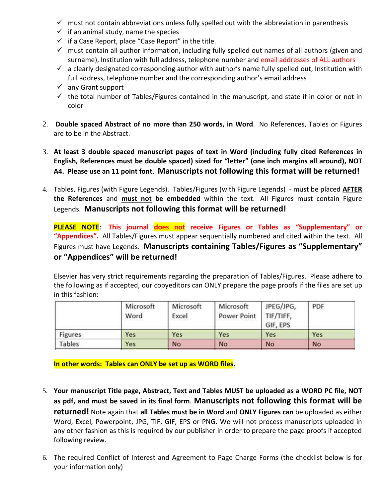- $\checkmark$  must not contain abbreviations unless fully spelled out with the abbreviation in parenthesis
- $\checkmark$  if an animal study, name the species
- $\checkmark$  if a Case Report, place "Case Report" in the title.
- $\checkmark$  must contain all author information, including fully spelled out names of all authors (given and surname), Institution with full address, telephone number and email addresses of ALL authors
- $\checkmark$  a clearly designated corresponding author with author's name fully spelled out, Institution with full address, telephone number and the corresponding author's email address
- $\checkmark$  any Grant support
- $\checkmark$  the total number of Tables/Figures contained in the manuscript, and state if in color or not in color
- 2. **Double spaced Abstract of no more than 250 words, in Word**. No References, Tables or Figures are to be in the Abstract.
- 3. **At least 3 double spaced manuscript pages of text in Word (including fully cited References in English, References must be double spaced) sized for "letter" (one inch margins all around), NOT A4. Please use an 11 point font**. **Manuscripts not following this format will be returned!**
- 4. Tables, Figures (with Figure Legends). Tables/Figures (with Figure Legends) must be placed **AFTER the References** and **must not be embedded** within the text. All Figures must contain Figure Legends. **Manuscripts not following this format will be returned!**

**PLEASE NOTE**: **This journal does not receive Figures or Tables as "Supplementary" or "Appendices".** All Tables/Figures must appear sequentially numbered and cited within the text. All Figures must have Legends. **Manuscripts containing Tables/Figures as "Supplementary" or "Appendices" will be returned!**

Elsevier has very strict requirements regarding the preparation of Tables/Figures. Please adhere to the following as if accepted, our copyeditors can ONLY prepare the page proofs if the files are set up in this fashion:

|                | Microsoft<br>Word | Microsoft<br>Excel | Microsoft<br>Power Point   TIF/TIFF, | JPEG/JPG,<br>GIF, EPS | PDF |
|----------------|-------------------|--------------------|--------------------------------------|-----------------------|-----|
| <b>Figures</b> | Yes               | Yes                | Yes                                  | Yes                   | Yes |
| Tables         | Yes               | <b>No</b>          | <b>No</b>                            | No.                   | No  |
|                |                   |                    |                                      |                       |     |

**In other words: Tables can ONLY be set up as WORD files.**

- 5. **Your manuscript Title page, Abstract, Text and Tables MUST be uploaded as a WORD PC file, NOT as pdf, and must be saved in its final form**. **Manuscripts not following this format will be returned!** Note again that **all Tables must be in Word** and **ONLY Figures can** be uploaded as either Word, Excel, Powerpoint, JPG, TIF, GIF, EPS or PNG. We will not process manuscripts uploaded in any other fashion as this is required by our publisher in order to prepare the page proofs if accepted following review.
- 6. The required Conflict of Interest and Agreement to Page Charge Forms (the checklist below is for your information only)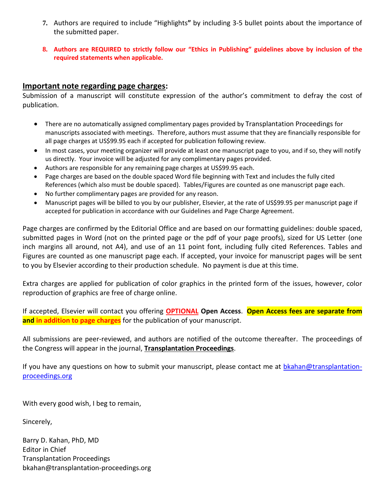- **7.** Authors are required to include "Highlights**"** by including 3-5 bullet points about the importance of the submitted paper.
- **8. Authors are REQUIRED to strictly follow our "Ethics in Publishing" guidelines above by inclusion of the required statements when applicable.**

## **Important note regarding page charges:**

Submission of a manuscript will constitute expression of the author's commitment to defray the cost of publication.

- There are no automatically assigned complimentary pages provided by Transplantation Proceedings for manuscripts associated with meetings. Therefore, authors must assume that they are financially responsible for all page charges at US\$99.95 each if accepted for publication following review.
- In most cases, your meeting organizer will provide at least one manuscript page to you, and if so, they will notify us directly. Your invoice will be adjusted for any complimentary pages provided.
- Authors are responsible for any remaining page charges at US\$99.95 each.
- Page charges are based on the double spaced Word file beginning with Text and includes the fully cited References (which also must be double spaced). Tables/Figures are counted as one manuscript page each.
- No further complimentary pages are provided for any reason.
- Manuscript pages will be billed to you by our publisher, Elsevier, at the rate of US\$99.95 per manuscript page if accepted for publication in accordance with our Guidelines and Page Charge Agreement.

Page charges are confirmed by the Editorial Office and are based on our formatting guidelines: double spaced, submitted pages in Word (not on the printed page or the pdf of your page proofs), sized for US Letter (one inch margins all around, not A4), and use of an 11 point font, including fully cited References. Tables and Figures are counted as one manuscript page each. If accepted, your invoice for manuscript pages will be sent to you by Elsevier according to their production schedule. No payment is due at this time.

Extra charges are applied for publication of color graphics in the printed form of the issues, however, color reproduction of graphics are free of charge online.

If accepted, Elsevier will contact you offering **OPTIONAL Open Access**. **Open Access fees are separate from and in addition to page charges** for the publication of your manuscript.

All submissions are peer-reviewed, and authors are notified of the outcome thereafter. The proceedings of the Congress will appear in the journal, **Transplantation Proceedings**.

If you have any questions on how to submit your manuscript, please contact me at [bkahan@transplantation](mailto:bkahan@transplantation-proceedings.org)[proceedings.org](mailto:bkahan@transplantation-proceedings.org)

With every good wish, I beg to remain,

Sincerely,

Barry D. Kahan, PhD, MD Editor in Chief Transplantation Proceedings bkahan@transplantation-proceedings.org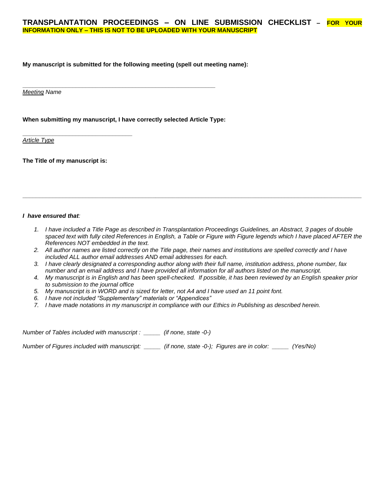#### **My manuscript is submitted for the following meeting (spell out meeting name):**

*Meeting Name*

#### **When submitting my manuscript, I have correctly selected Article Type:**

**\_\_\_\_\_\_\_\_\_\_\_\_\_\_\_\_\_\_\_\_\_\_\_\_\_\_\_\_\_\_\_\_\_\_\_\_\_\_\_\_\_\_\_\_\_\_\_\_\_\_\_\_\_\_\_\_\_\_**

*Article Type*

**The Title of my manuscript is:**

**\_\_\_\_\_\_\_\_\_\_\_\_\_\_\_\_\_\_\_\_\_\_\_\_\_\_\_\_\_\_\_\_\_**

#### *I have ensured that:*

- *1. I have included a Title Page as described in Transplantation Proceedings Guidelines, an Abstract, 3 pages of double spaced text with fully cited References in English, a Table or Figure with Figure legends which I have placed AFTER the References NOT embedded in the text.*
- *2. All author names are listed correctly on the Title page, their names and institutions are spelled correctly and I have included ALL author email addresses AND email addresses for each.*

**\_\_\_\_\_\_\_\_\_\_\_\_\_\_\_\_\_\_\_\_\_\_\_\_\_\_\_\_\_\_\_\_\_\_\_\_\_\_\_\_\_\_\_\_\_\_\_\_\_\_\_\_\_\_\_\_\_\_\_\_\_\_\_\_\_\_\_\_\_\_\_\_\_\_\_\_\_\_\_\_\_\_\_\_\_\_\_\_\_\_\_\_\_\_\_\_\_\_\_\_\_\_**

- *3. I have clearly designated a corresponding author along with their full name, institution address, phone number, fax number and an email address and I have provided all information for all authors listed on the manuscript.*
- *4. My manuscript is in English and has been spell-checked. If possible, it has been reviewed by an English speaker prior to submission to the journal office*
- *5. My manuscript is in WORD and is sized for letter, not A4 and I have used an 11 point font.*
- *6. I have not included "Supplementary" materials or "Appendices"*
- *7. I have made notations in my manuscript in compliance with our Ethics in Publishing as described herein.*

*Number of Tables included with manuscript : \_\_\_\_\_ (if none, state -0-)*

*Number of Figures included with manuscript: \_\_\_\_\_ (if none, state -0-); Figures are in color: \_\_\_\_\_ (Yes/No)*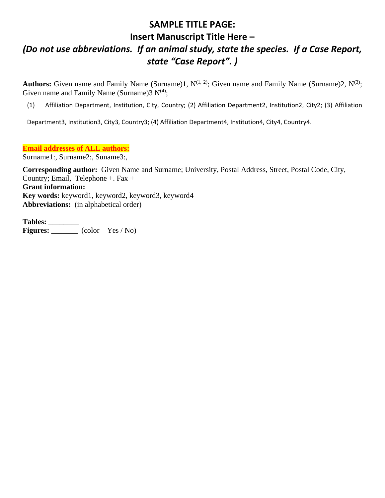# **SAMPLE TITLE PAGE:**

# **Insert Manuscript Title Here –**

# *(Do not use abbreviations. If an animal study, state the species. If a Case Report, state "Case Report". )*

**Authors:** Given name and Family Name (Surname)1,  $N^{(1, 2)}$ ; Given name and Family Name (Surname)2,  $N^{(3)}$ ; Given name and Family Name (Surname) $3 N^{(4)}$ ;

(1) Affiliation Department, Institution, City, Country; (2) Affiliation Department2, Institution2, City2; (3) Affiliation

Department3, Institution3, City3, Country3; (4) Affiliation Department4, Institution4, City4, Country4.

**Email addresses of ALL authors:**

Surname1:, Surname2:, Suname3:,

**Corresponding author:** Given Name and Surname; University, Postal Address, Street, Postal Code, City, Country; Email, Telephone  $+$ . Fax  $+$ **Grant information: Key words:** keyword1, keyword2, keyword3, keyword4 **Abbreviations:** (in alphabetical order)

**Tables:** \_\_\_\_\_\_\_\_ Figures:  $\frac{\sqrt{1-\frac{1}{2}}}{\frac{1}{2}}$  (color – Yes / No)